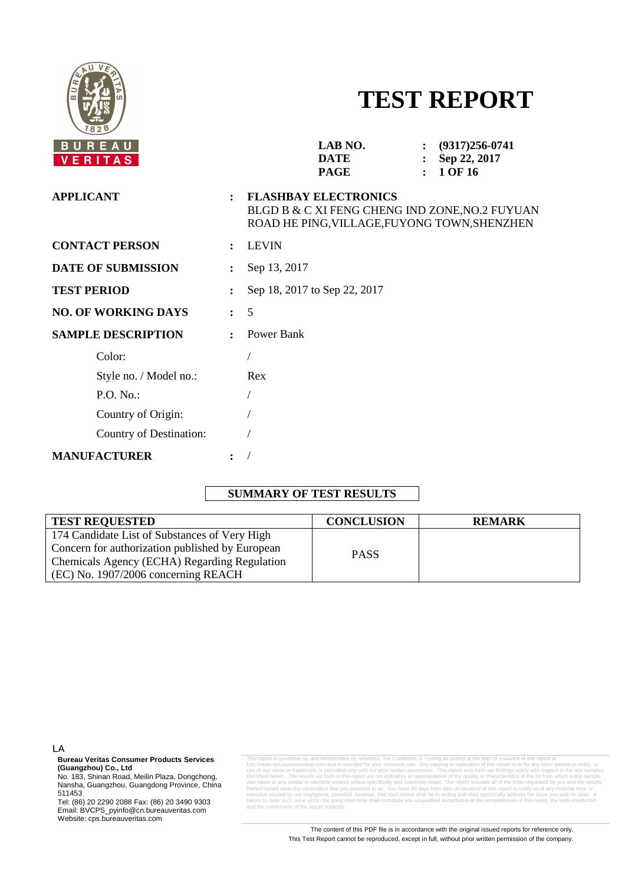

# **TEST REPORT**

| <b>APPLICANT</b><br><b>FLASHBAY ELECTRONICS</b><br>$\ddot{\cdot}$<br><b>CONTACT PERSON</b><br><b>LEVIN</b><br>$\ddot{\cdot}$<br><b>DATE OF SUBMISSION</b><br>Sep 13, 2017<br>$\ddot{\cdot}$<br><b>TEST PERIOD</b><br>Sep 18, 2017 to Sep 22, 2017<br>$\ddot{\cdot}$<br>5<br><b>NO. OF WORKING DAYS</b><br>$\ddot{\phantom{a}}$<br>Power Bank<br><b>SAMPLE DESCRIPTION</b><br>$\ddot{\cdot}$<br>Color:<br>Style no. / Model no.:<br>Rex<br>P.O. No.: | BUREAU<br><b>VERITAS</b> | LAB NO.<br>$(9317)256 - 0741$<br><b>DATE</b><br>Sep 22, 2017<br>1 OF 16<br><b>PAGE</b>         |
|-----------------------------------------------------------------------------------------------------------------------------------------------------------------------------------------------------------------------------------------------------------------------------------------------------------------------------------------------------------------------------------------------------------------------------------------------------|--------------------------|------------------------------------------------------------------------------------------------|
|                                                                                                                                                                                                                                                                                                                                                                                                                                                     |                          | BLGD B & C XI FENG CHENG IND ZONE, NO.2 FUYUAN<br>ROAD HE PING, VILLAGE, FUYONG TOWN, SHENZHEN |
|                                                                                                                                                                                                                                                                                                                                                                                                                                                     |                          |                                                                                                |
|                                                                                                                                                                                                                                                                                                                                                                                                                                                     |                          |                                                                                                |
|                                                                                                                                                                                                                                                                                                                                                                                                                                                     |                          |                                                                                                |
|                                                                                                                                                                                                                                                                                                                                                                                                                                                     |                          |                                                                                                |
|                                                                                                                                                                                                                                                                                                                                                                                                                                                     |                          |                                                                                                |
|                                                                                                                                                                                                                                                                                                                                                                                                                                                     |                          |                                                                                                |
|                                                                                                                                                                                                                                                                                                                                                                                                                                                     |                          |                                                                                                |
|                                                                                                                                                                                                                                                                                                                                                                                                                                                     |                          |                                                                                                |
|                                                                                                                                                                                                                                                                                                                                                                                                                                                     | Country of Origin:       |                                                                                                |
| Country of Destination:                                                                                                                                                                                                                                                                                                                                                                                                                             |                          |                                                                                                |
| <b>MANUFACTURER</b><br>$\ddot{\cdot}$                                                                                                                                                                                                                                                                                                                                                                                                               |                          |                                                                                                |

# **SUMMARY OF TEST RESULTS**

| <b>TEST REQUESTED</b>                           | <b>CONCLUSION</b> | <b>REMARK</b> |
|-------------------------------------------------|-------------------|---------------|
| 174 Candidate List of Substances of Very High   |                   |               |
| Concern for authorization published by European | <b>PASS</b>       |               |
| Chemicals Agency (ECHA) Regarding Regulation    |                   |               |
| $ $ (EC) No. 1907/2006 concerning REACH         |                   |               |

LA

**Bureau Veritas Consumer Products Services (Guangzhou) Co., Ltd** 

No. 183, Shinan Road, Meilin Plaza, Dongchong, Nansha, Guangzhou, Guangdong Province, China 511453

Tel: (86) 20 2290 2088 Fax: (86) 20 3490 9303 Email: BVCPS\_pyinfo@cn.bureauveritas.com Website: cps.bureauveritas.com

This report is governed by, and incorporates by reference, the Conditions of Testing as posted at the date of issuance of this report at http://www.cps.bureauveritas.com and is intended for your exclusive use. Any copying or replication of this report to or for any other person or entity, or use of our name or trademark, is permitted only with our prior written permission. This report sets forth our findings solely with respect to the test samples identified herein. The results set forth in this report are not indicative or representative of the quality or characteristics of the lot from which a test sample was taken or any similar or identical product unless specifically and expressly noted. Our report includes all of the tests requested by you and the results of the information that you provided to us. You have 60 days from date of issuance of this report to notify us of a<br>by our negligence: provided bowever that such potice shall he in writing and shall specifically address th onide by researce; provided, however, that is address that such notice shall specifically and shall specifically and shall specifically address the interfailure to raise such issue within the prescribed time shall constitute you unqualified acceptance of the completeness of this report, the tests conducted and the correctness of the report contents.

> The content of this PDF file is in accordance with the original issued reports for reference only. This Test Report cannot be reproduced, except in full, without prior written permission of the company.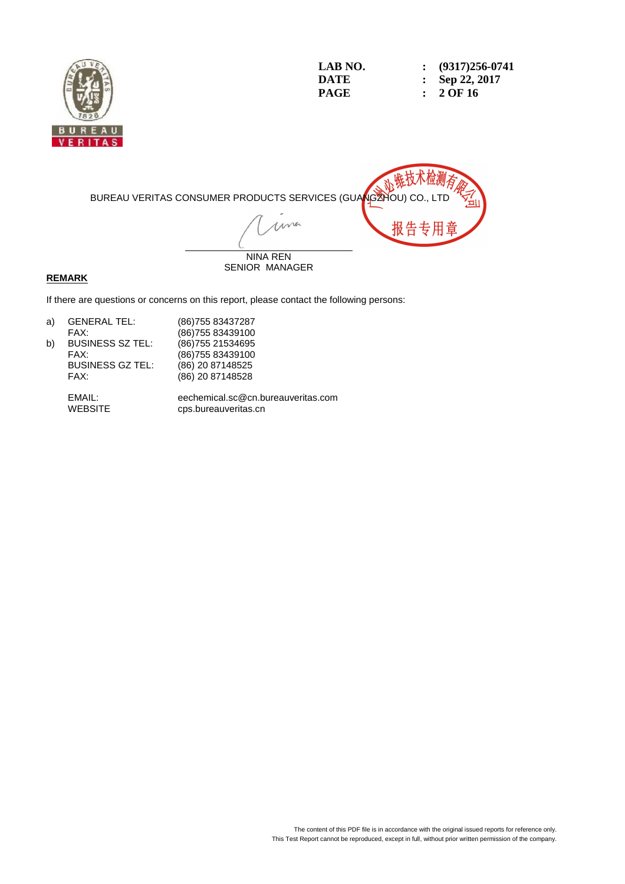

**LAB NO.** : (9317)256-0741<br> **DATE** : Sep 22, 2017 **DATE : Sep 22, 2017 PAGE : 2 OF 16** 



SENIOR MANAGER

### **REMARK**

If there are questions or concerns on this report, please contact the following persons:

| a) | <b>GENERAL TEL:</b>     | (86) 755 83437287 |
|----|-------------------------|-------------------|
|    | FAX:                    | (86) 755 83439100 |
| b) | <b>BUSINESS SZ TEL:</b> | (86) 755 21534695 |
|    | FAX:                    | (86) 755 83439100 |
|    | <b>BUSINESS GZ TEL:</b> | (86) 20 87148525  |
|    | FAX:                    | (86) 20 87148528  |
|    |                         |                   |

 EMAIL: eechemical.sc@cn.bureauveritas.com cps.bureauveritas.cn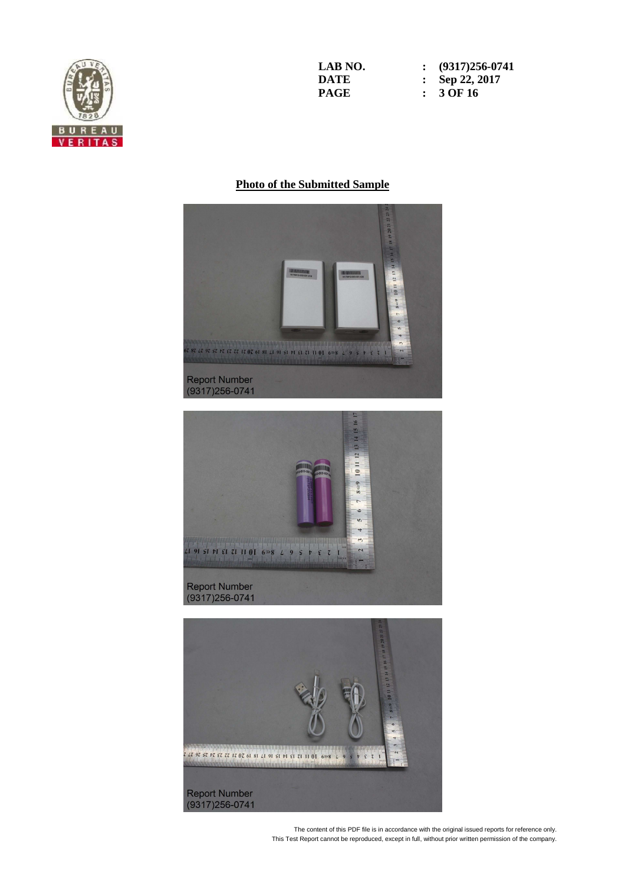

**LAB NO.** : (9317)256-0741<br> **DATE** : Sep 22, 2017 **DATE : Sep 22, 2017 PAGE : 3 OF 16** 

#### **Photo of the Submitted Sample**





The content of this PDF file is in accordance with the original issued reports for reference only. This Test Report cannot be reproduced, except in full, without prior written permission of the company.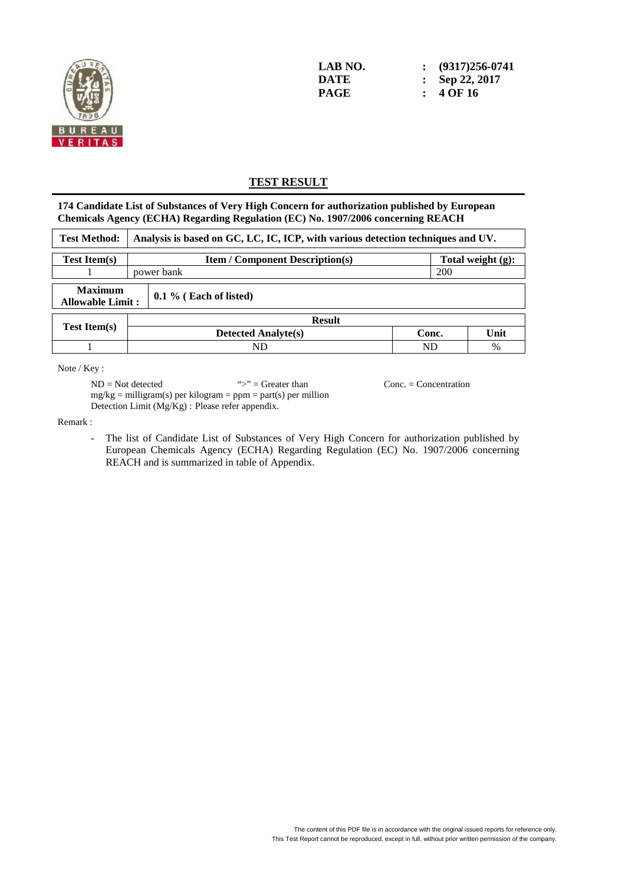

**LAB NO. : (9317)256-0741 DATE : Sep 22, 2017 PAGE : 4 OF 16** 

## **TEST RESULT**

**174 Candidate List of Substances of Very High Concern for authorization published by European Chemicals Agency (ECHA) Regarding Regulation (EC) No. 1907/2006 concerning REACH** 

| <b>Test Method:</b>                                                   |  | Analysis is based on GC, LC, IC, ICP, with various detection techniques and UV. |       |      |  |  |  |
|-----------------------------------------------------------------------|--|---------------------------------------------------------------------------------|-------|------|--|--|--|
| <b>Test Item(s)</b>                                                   |  | Total weight (g):<br><b>Item / Component Description(s)</b>                     |       |      |  |  |  |
|                                                                       |  | <b>200</b><br>power bank                                                        |       |      |  |  |  |
| <b>Maximum</b><br>$0.1\%$ (Each of listed)<br><b>Allowable Limit:</b> |  |                                                                                 |       |      |  |  |  |
|                                                                       |  | <b>Result</b>                                                                   |       |      |  |  |  |
| <b>Test Item(s)</b>                                                   |  | <b>Detected Analyte(s)</b>                                                      | Conc. | Unit |  |  |  |
|                                                                       |  | ND<br>ND                                                                        |       |      |  |  |  |

Note / Key :

 $ND = Not detected$  ">" = Greater than Conc. = Concentration  $mg/kg =$  milligram(s) per kilogram = ppm = part(s) per million Detection Limit (Mg/Kg) : Please refer appendix.

Remark :

- The list of Candidate List of Substances of Very High Concern for authorization published by European Chemicals Agency (ECHA) Regarding Regulation (EC) No. 1907/2006 concerning REACH and is summarized in table of Appendix.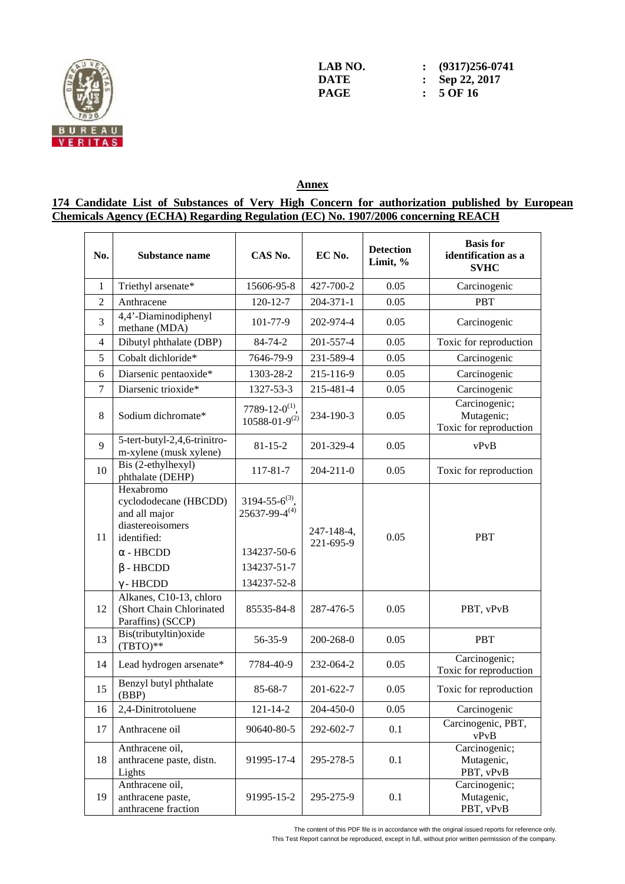

**LAB NO.** : (9317)256-0741<br> **DATE** : Sep 22, 2017 **DATE : Sep 22, 2017 PAGE : 5 OF 16** 

**Annex** 

**174 Candidate List of Substances of Very High Concern for authorization published by European Chemicals Agency (ECHA) Regarding Regulation (EC) No. 1907/2006 concerning REACH** 

| No.            | Substance name                                                                                                                                    | CAS No.                                                                                        | EC No.                  | <b>Detection</b><br>Limit, % | <b>Basis</b> for<br>identification as a<br><b>SVHC</b> |
|----------------|---------------------------------------------------------------------------------------------------------------------------------------------------|------------------------------------------------------------------------------------------------|-------------------------|------------------------------|--------------------------------------------------------|
| 1              | Triethyl arsenate*                                                                                                                                | 15606-95-8                                                                                     | 427-700-2               | 0.05                         | Carcinogenic                                           |
| $\overline{2}$ | Anthracene                                                                                                                                        | $120 - 12 - 7$                                                                                 | 204-371-1               | 0.05                         | <b>PBT</b>                                             |
| 3              | 4,4'-Diaminodiphenyl<br>methane (MDA)                                                                                                             | 101-77-9                                                                                       | 202-974-4               | 0.05                         | Carcinogenic                                           |
| $\overline{4}$ | Dibutyl phthalate (DBP)                                                                                                                           | 84-74-2                                                                                        | 201-557-4               | 0.05                         | Toxic for reproduction                                 |
| 5              | Cobalt dichloride*                                                                                                                                | 7646-79-9                                                                                      | 231-589-4               | 0.05                         | Carcinogenic                                           |
| 6              | Diarsenic pentaoxide*                                                                                                                             | 1303-28-2                                                                                      | 215-116-9               | 0.05                         | Carcinogenic                                           |
| $\tau$         | Diarsenic trioxide*                                                                                                                               | 1327-53-3                                                                                      | 215-481-4               | 0.05                         | Carcinogenic                                           |
| 8              | Sodium dichromate*                                                                                                                                | 7789-12-0 <sup>(1)</sup> ,<br>$10588 - 01 - 9^{(2)}$                                           | 234-190-3               | 0.05                         | Carcinogenic;<br>Mutagenic;<br>Toxic for reproduction  |
| $\mathbf{Q}$   | 5-tert-butyl-2,4,6-trinitro-<br>m-xylene (musk xylene)                                                                                            | $81 - 15 - 2$                                                                                  | 201-329-4               | 0.05                         | vPvB                                                   |
| 10             | Bis (2-ethylhexyl)<br>phthalate (DEHP)                                                                                                            | 117-81-7                                                                                       | $204 - 211 - 0$         | 0.05                         | Toxic for reproduction                                 |
| 11             | Hexabromo<br>cyclododecane (HBCDD)<br>and all major<br>diastereoisomers<br>identified:<br>$\alpha$ - HBCDD<br>$\beta$ - HBCDD<br>$\gamma$ - HBCDD | $3194 - 55 - 6^{(3)}$ .<br>$25637 - 99 - 4^{(4)}$<br>134237-50-6<br>134237-51-7<br>134237-52-8 | 247-148-4,<br>221-695-9 | 0.05                         | <b>PBT</b>                                             |
| 12             | Alkanes, C10-13, chloro<br>(Short Chain Chlorinated<br>Paraffins) (SCCP)                                                                          | 85535-84-8                                                                                     | 287-476-5               | 0.05                         | PBT, vPvB                                              |
| 13             | Bis(tributyltin) oxide<br>$(TBTO)**$                                                                                                              | 56-35-9                                                                                        | 200-268-0               | 0.05                         | <b>PBT</b>                                             |
| 14             | Lead hydrogen arsenate*                                                                                                                           | 7784-40-9                                                                                      | 232-064-2               | 0.05                         | Carcinogenic;<br>Toxic for reproduction                |
| 15             | Benzyl butyl phthalate<br>(BBP)                                                                                                                   | 85-68-7                                                                                        | 201-622-7               | 0.05                         | Toxic for reproduction                                 |
| 16             | 2,4-Dinitrotoluene                                                                                                                                | $121 - 14 - 2$                                                                                 | 204-450-0               | 0.05                         | Carcinogenic                                           |
| 17             | Anthracene oil                                                                                                                                    | 90640-80-5                                                                                     | 292-602-7               | 0.1                          | Carcinogenic, PBT,<br>vPvB                             |
| 18             | Anthracene oil,<br>anthracene paste, distn.<br>Lights                                                                                             | 91995-17-4                                                                                     | 295-278-5               | 0.1                          | Carcinogenic;<br>Mutagenic,<br>PBT, vPvB               |
| 19             | Anthracene oil,<br>anthracene paste,<br>anthracene fraction                                                                                       | 91995-15-2                                                                                     | 295-275-9               | 0.1                          | Carcinogenic;<br>Mutagenic,<br>PBT, vPvB               |

The content of this PDF file is in accordance with the original issued reports for reference only.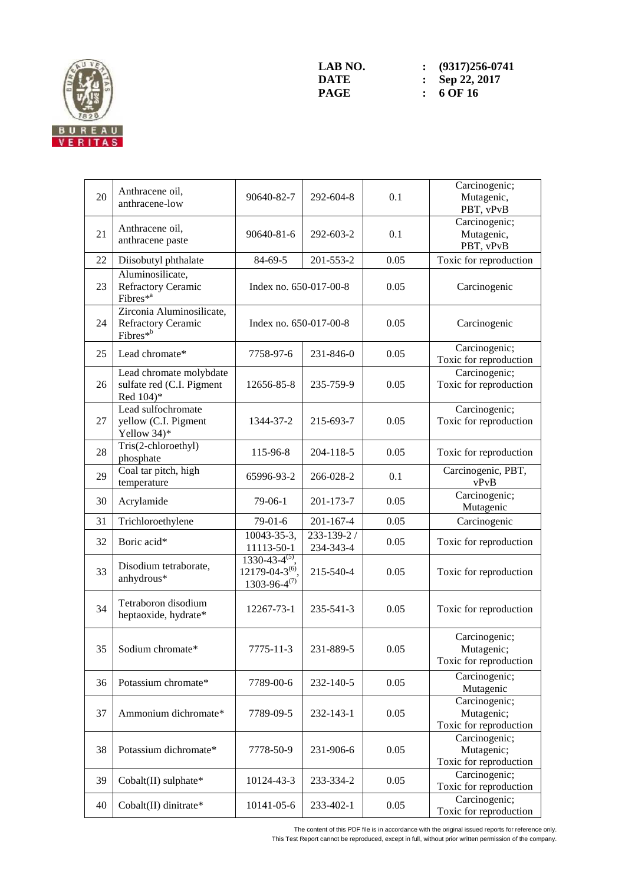

| 20 | Anthracene oil,<br>anthracene-low                                 | 90640-82-7                                                             | 292-604-8                    | 0.1  | Carcinogenic;<br>Mutagenic,<br>PBT, vPvB              |
|----|-------------------------------------------------------------------|------------------------------------------------------------------------|------------------------------|------|-------------------------------------------------------|
| 21 | Anthracene oil,<br>anthracene paste                               | 90640-81-6                                                             | 292-603-2                    | 0.1  | Carcinogenic;<br>Mutagenic,<br>PBT, vPvB              |
| 22 | Diisobutyl phthalate                                              | 84-69-5                                                                | 201-553-2                    | 0.05 | Toxic for reproduction                                |
| 23 | Aluminosilicate,<br>Refractory Ceramic<br>Fibres <sup>*a</sup>    | Index no. 650-017-00-8                                                 |                              | 0.05 | Carcinogenic                                          |
| 24 | Zirconia Aluminosilicate,<br>Refractory Ceramic<br>Fibres*b       | Index no. 650-017-00-8                                                 |                              | 0.05 | Carcinogenic                                          |
| 25 | Lead chromate*                                                    | 7758-97-6                                                              | 231-846-0                    | 0.05 | Carcinogenic;<br>Toxic for reproduction               |
| 26 | Lead chromate molybdate<br>sulfate red (C.I. Pigment<br>Red 104)* | 12656-85-8                                                             | 235-759-9                    | 0.05 | Carcinogenic;<br>Toxic for reproduction               |
| 27 | Lead sulfochromate<br>yellow (C.I. Pigment<br>Yellow 34)*         | 1344-37-2                                                              | 215-693-7                    | 0.05 | Carcinogenic;<br>Toxic for reproduction               |
| 28 | Tris(2-chloroethyl)<br>phosphate                                  | 115-96-8                                                               | 204-118-5                    | 0.05 | Toxic for reproduction                                |
| 29 | Coal tar pitch, high<br>temperature                               | 65996-93-2                                                             | 266-028-2                    | 0.1  | Carcinogenic, PBT,<br>vPvB                            |
| 30 | Acrylamide                                                        | $79-06-1$                                                              | 201-173-7                    | 0.05 | Carcinogenic;<br>Mutagenic                            |
| 31 | Trichloroethylene                                                 | $79-01-6$                                                              | 201-167-4                    | 0.05 | Carcinogenic                                          |
| 32 | Boric acid*                                                       | 10043-35-3,<br>11113-50-1                                              | $233 - 139 - 2$<br>234-343-4 | 0.05 | Toxic for reproduction                                |
| 33 | Disodium tetraborate,<br>anhydrous*                               | $1330-43-4^{(5)}$ ,<br>$12179 - 04 - 3^{(6)}$<br>$1303 - 96 - 4^{(7)}$ | 215-540-4                    | 0.05 | Toxic for reproduction                                |
| 34 | Tetraboron disodium<br>heptaoxide, hydrate*                       | 12267-73-1                                                             | 235-541-3                    | 0.05 | Toxic for reproduction                                |
| 35 | Sodium chromate*                                                  | 7775-11-3                                                              | 231-889-5                    | 0.05 | Carcinogenic;<br>Mutagenic;<br>Toxic for reproduction |
| 36 | Potassium chromate*                                               | 7789-00-6                                                              | 232-140-5                    | 0.05 | Carcinogenic;<br>Mutagenic                            |
| 37 | Ammonium dichromate*                                              | 7789-09-5                                                              | 232-143-1                    | 0.05 | Carcinogenic;<br>Mutagenic;<br>Toxic for reproduction |
| 38 | Potassium dichromate*                                             | 7778-50-9                                                              | 231-906-6                    | 0.05 | Carcinogenic;<br>Mutagenic;<br>Toxic for reproduction |
| 39 | Cobalt(II) sulphate*                                              | 10124-43-3                                                             | 233-334-2                    | 0.05 | Carcinogenic;<br>Toxic for reproduction               |
| 40 | Cobalt(II) dinitrate*                                             | 10141-05-6                                                             | 233-402-1                    | 0.05 | Carcinogenic;<br>Toxic for reproduction               |

The content of this PDF file is in accordance with the original issued reports for reference only.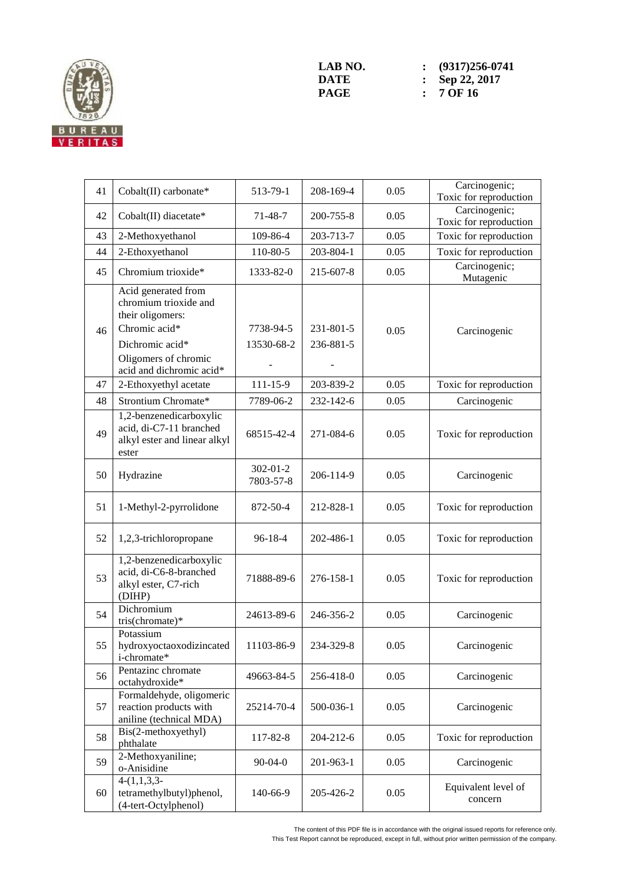

| 41 | Cobalt(II) carbonate*                                                                                                                                    | 513-79-1                    | 208-169-4              | 0.05 | Carcinogenic;<br>Toxic for reproduction |
|----|----------------------------------------------------------------------------------------------------------------------------------------------------------|-----------------------------|------------------------|------|-----------------------------------------|
| 42 | Cobalt(II) diacetate*                                                                                                                                    | $71 - 48 - 7$               | 200-755-8              | 0.05 | Carcinogenic;<br>Toxic for reproduction |
| 43 | 2-Methoxyethanol                                                                                                                                         | 109-86-4                    | 203-713-7              | 0.05 | Toxic for reproduction                  |
| 44 | 2-Ethoxyethanol                                                                                                                                          | 110-80-5                    | 203-804-1              | 0.05 | Toxic for reproduction                  |
| 45 | Chromium trioxide*                                                                                                                                       | 1333-82-0                   | 215-607-8              | 0.05 | Carcinogenic;<br>Mutagenic              |
| 46 | Acid generated from<br>chromium trioxide and<br>their oligomers:<br>Chromic acid*<br>Dichromic acid*<br>Oligomers of chromic<br>acid and dichromic acid* | 7738-94-5<br>13530-68-2     | 231-801-5<br>236-881-5 | 0.05 | Carcinogenic                            |
| 47 | 2-Ethoxyethyl acetate                                                                                                                                    | $111 - 15 - 9$              | 203-839-2              | 0.05 | Toxic for reproduction                  |
| 48 | Strontium Chromate*                                                                                                                                      | 7789-06-2                   | 232-142-6              | 0.05 | Carcinogenic                            |
| 49 | 1,2-benzenedicarboxylic<br>acid, di-C7-11 branched<br>alkyl ester and linear alkyl<br>ester                                                              | 68515-42-4                  | 271-084-6              | 0.05 | Toxic for reproduction                  |
| 50 | Hydrazine                                                                                                                                                | $302 - 01 - 2$<br>7803-57-8 | 206-114-9              | 0.05 | Carcinogenic                            |
| 51 | 1-Methyl-2-pyrrolidone                                                                                                                                   | 872-50-4                    | 212-828-1              | 0.05 | Toxic for reproduction                  |
| 52 | 1,2,3-trichloropropane                                                                                                                                   | 96-18-4                     | 202-486-1              | 0.05 | Toxic for reproduction                  |
| 53 | 1,2-benzenedicarboxylic<br>acid, di-C6-8-branched<br>alkyl ester, C7-rich<br>(DIHP)                                                                      | 71888-89-6                  | 276-158-1              | 0.05 | Toxic for reproduction                  |
| 54 | Dichromium<br>tris(chromate)*                                                                                                                            | 24613-89-6                  | 246-356-2              | 0.05 | Carcinogenic                            |
| 55 | Potassium<br>hydroxyoctaoxodizincated<br>i-chromate*                                                                                                     | 11103-86-9                  | 234-329-8              | 0.05 | Carcinogenic                            |
| 56 | Pentazinc chromate<br>octahydroxide*                                                                                                                     | 49663-84-5                  | 256-418-0              | 0.05 | Carcinogenic                            |
| 57 | Formaldehyde, oligomeric<br>reaction products with<br>aniline (technical MDA)                                                                            | 25214-70-4                  | 500-036-1              | 0.05 | Carcinogenic                            |
| 58 | Bis(2-methoxyethyl)<br>phthalate                                                                                                                         | 117-82-8                    | 204-212-6              | 0.05 | Toxic for reproduction                  |
| 59 | 2-Methoxyaniline;<br>o-Anisidine                                                                                                                         | $90 - 04 - 0$               | 201-963-1              | 0.05 | Carcinogenic                            |
| 60 | $4-(1,1,3,3-$<br>tetramethylbutyl)phenol,<br>(4-tert-Octylphenol)                                                                                        | 140-66-9                    | 205-426-2              | 0.05 | Equivalent level of<br>concern          |

The content of this PDF file is in accordance with the original issued reports for reference only.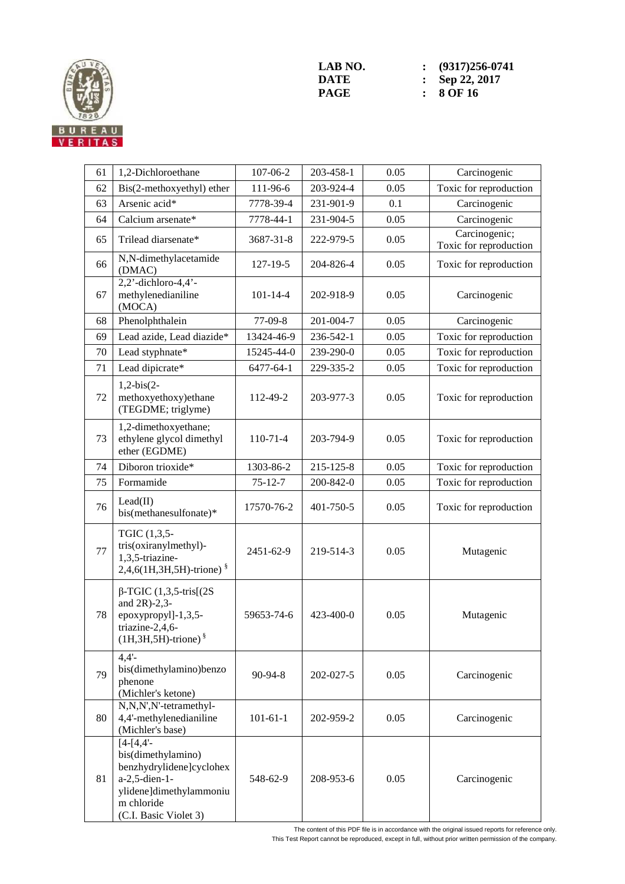

**LAB NO.** : (9317)256-0741<br> **DATE** : Sep 22, 2017 **DATE : Sep 22, 2017**<br>**PAGE : 8 OF 16 PAGE : 8 OF 16** 

| 61 | 1,2-Dichloroethane                                                                                                                                | 107-06-2       | 203-458-1 | 0.05 | Carcinogenic                            |
|----|---------------------------------------------------------------------------------------------------------------------------------------------------|----------------|-----------|------|-----------------------------------------|
| 62 | Bis(2-methoxyethyl) ether                                                                                                                         | 111-96-6       | 203-924-4 | 0.05 | Toxic for reproduction                  |
| 63 | Arsenic acid*                                                                                                                                     | 7778-39-4      | 231-901-9 | 0.1  | Carcinogenic                            |
| 64 | Calcium arsenate*                                                                                                                                 | 7778-44-1      | 231-904-5 | 0.05 | Carcinogenic                            |
| 65 | Trilead diarsenate*                                                                                                                               | 3687-31-8      | 222-979-5 | 0.05 | Carcinogenic;<br>Toxic for reproduction |
| 66 | N,N-dimethylacetamide<br>(DMAC)                                                                                                                   | $127 - 19 - 5$ | 204-826-4 | 0.05 | Toxic for reproduction                  |
| 67 | $2,2'$ -dichloro-4,4'-<br>methylenedianiline<br>(MOCA)                                                                                            | $101 - 14 - 4$ | 202-918-9 | 0.05 | Carcinogenic                            |
| 68 | Phenolphthalein                                                                                                                                   | $77-09-8$      | 201-004-7 | 0.05 | Carcinogenic                            |
| 69 | Lead azide, Lead diazide*                                                                                                                         | 13424-46-9     | 236-542-1 | 0.05 | Toxic for reproduction                  |
| 70 | Lead styphnate*                                                                                                                                   | 15245-44-0     | 239-290-0 | 0.05 | Toxic for reproduction                  |
| 71 | Lead dipicrate*                                                                                                                                   | 6477-64-1      | 229-335-2 | 0.05 | Toxic for reproduction                  |
| 72 | $1,2-bis(2-$<br>methoxyethoxy)ethane<br>(TEGDME; triglyme)                                                                                        | 112-49-2       | 203-977-3 | 0.05 | Toxic for reproduction                  |
| 73 | 1,2-dimethoxyethane;<br>ethylene glycol dimethyl<br>ether (EGDME)                                                                                 | $110-71-4$     | 203-794-9 | 0.05 | Toxic for reproduction                  |
| 74 | Diboron trioxide*                                                                                                                                 | 1303-86-2      | 215-125-8 | 0.05 | Toxic for reproduction                  |
| 75 | Formamide                                                                                                                                         | $75 - 12 - 7$  | 200-842-0 | 0.05 | Toxic for reproduction                  |
| 76 | Lead(II)<br>bis(methanesulfonate)*                                                                                                                | 17570-76-2     | 401-750-5 | 0.05 | Toxic for reproduction                  |
| 77 | TGIC (1,3,5-<br>tris(oxiranylmethyl)-<br>1,3,5-triazine-<br>2,4,6(1H,3H,5H)-trione) <sup>§</sup>                                                  | 2451-62-9      | 219-514-3 | 0.05 | Mutagenic                               |
| 78 | $\beta$ -TGIC (1,3,5-tris[(2S)<br>and $2R$ )-2,3-<br>epoxypropyl]-1,3,5-<br>triazine-2,4,6-<br>$(1H,3H,5H)$ -trione) $§$                          | 59653-74-6     | 423-400-0 | 0.05 | Mutagenic                               |
| 79 | $4.4'$ -<br>bis(dimethylamino)benzo<br>phenone<br>(Michler's ketone)                                                                              | 90-94-8        | 202-027-5 | 0.05 | Carcinogenic                            |
| 80 | N,N,N',N'-tetramethyl-<br>4,4'-methylenedianiline<br>(Michler's base)                                                                             | $101 - 61 - 1$ | 202-959-2 | 0.05 | Carcinogenic                            |
| 81 | $[4-[4,4]$ -<br>bis(dimethylamino)<br>benzhydrylidene]cyclohex<br>a-2,5-dien-1-<br>ylidene]dimethylammoniu<br>m chloride<br>(C.I. Basic Violet 3) | 548-62-9       | 208-953-6 | 0.05 | Carcinogenic                            |

The content of this PDF file is in accordance with the original issued reports for reference only.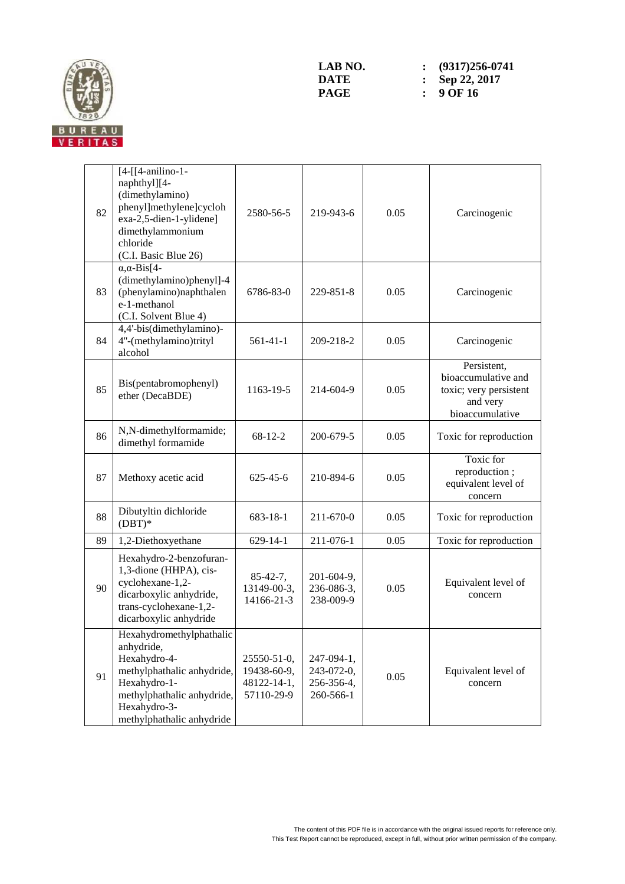

| 82 | [4-[[4-anilino-1-<br>naphthyl][4-<br>(dimethylamino)<br>phenyl]methylene]cycloh<br>exa-2,5-dien-1-ylidene]<br>dimethylammonium<br>chloride<br>(C.I. Basic Blue 26)              | 2580-56-5                                               | 219-943-6                                           | 0.05 | Carcinogenic                                                                                |
|----|---------------------------------------------------------------------------------------------------------------------------------------------------------------------------------|---------------------------------------------------------|-----------------------------------------------------|------|---------------------------------------------------------------------------------------------|
| 83 | $\alpha$ , $\alpha$ -Bis[4-<br>(dimethylamino)phenyl]-4<br>(phenylamino)naphthalen<br>e-1-methanol<br>(C.I. Solvent Blue 4)                                                     | 6786-83-0                                               | 229-851-8                                           | 0.05 | Carcinogenic                                                                                |
| 84 | 4,4'-bis(dimethylamino)-<br>4"-(methylamino)trityl<br>alcohol                                                                                                                   | $561-41-1$                                              | 209-218-2                                           | 0.05 | Carcinogenic                                                                                |
| 85 | Bis(pentabromophenyl)<br>ether (DecaBDE)                                                                                                                                        | 1163-19-5                                               | 214-604-9                                           | 0.05 | Persistent,<br>bioaccumulative and<br>toxic; very persistent<br>and very<br>bioaccumulative |
| 86 | N,N-dimethylformamide;<br>dimethyl formamide                                                                                                                                    | $68-12-2$                                               | 200-679-5                                           | 0.05 | Toxic for reproduction                                                                      |
| 87 | Methoxy acetic acid                                                                                                                                                             | $625 - 45 - 6$                                          | 210-894-6                                           | 0.05 | Toxic for<br>reproduction;<br>equivalent level of<br>concern                                |
| 88 | Dibutyltin dichloride<br>$(DBT)*$                                                                                                                                               | 683-18-1                                                | 211-670-0                                           | 0.05 | Toxic for reproduction                                                                      |
| 89 | 1,2-Diethoxyethane                                                                                                                                                              | $629 - 14 - 1$                                          | 211-076-1                                           | 0.05 | Toxic for reproduction                                                                      |
| 90 | Hexahydro-2-benzofuran-<br>1,3-dione (HHPA), cis-<br>cyclohexane-1,2-<br>dicarboxylic anhydride,<br>trans-cyclohexane-1,2-<br>dicarboxylic anhydride                            | $85-42-7,$<br>13149-00-3,<br>14166-21-3                 | 201-604-9,<br>236-086-3,<br>238-009-9               | 0.05 | Equivalent level of<br>concern                                                              |
| 91 | Hexahydromethylphathalic<br>anhydride,<br>Hexahydro-4-<br>methylphathalic anhydride,<br>Hexahydro-1-<br>methylphathalic anhydride,<br>Hexahydro-3-<br>methylphathalic anhydride | 25550-51-0,<br>19438-60-9,<br>48122-14-1,<br>57110-29-9 | 247-094-1,<br>243-072-0,<br>256-356-4,<br>260-566-1 | 0.05 | Equivalent level of<br>concern                                                              |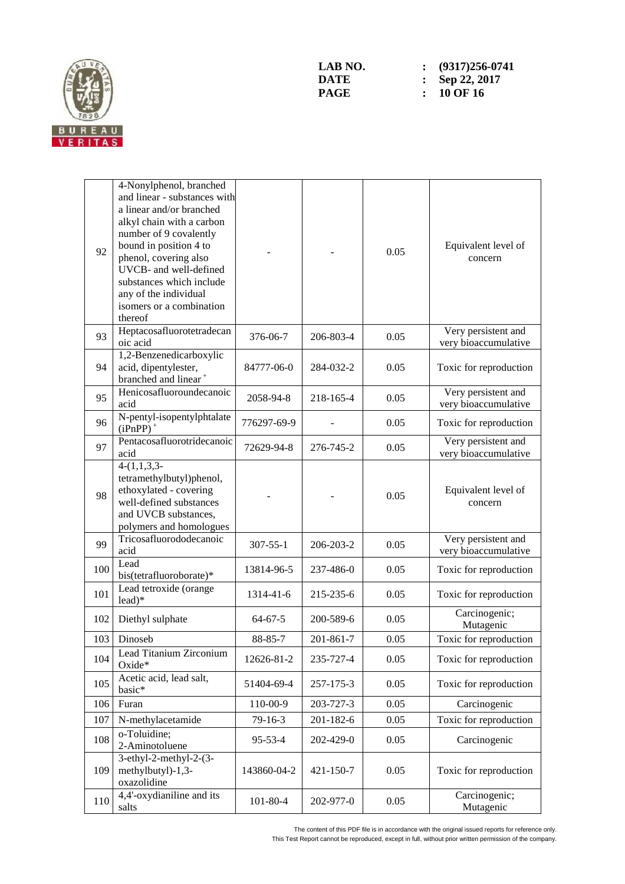

| 92  | 4-Nonylphenol, branched<br>and linear - substances with<br>a linear and/or branched<br>alkyl chain with a carbon<br>number of 9 covalently<br>bound in position 4 to<br>phenol, covering also<br>UVCB- and well-defined<br>substances which include<br>any of the individual<br>isomers or a combination<br>thereof |                |           | 0.05 | Equivalent level of<br>concern              |
|-----|---------------------------------------------------------------------------------------------------------------------------------------------------------------------------------------------------------------------------------------------------------------------------------------------------------------------|----------------|-----------|------|---------------------------------------------|
| 93  | Heptacosafluorotetradecan<br>oic acid                                                                                                                                                                                                                                                                               | 376-06-7       | 206-803-4 | 0.05 | Very persistent and<br>very bioaccumulative |
| 94  | 1,2-Benzenedicarboxylic<br>acid, dipentylester,<br>branched and linear <sup>+</sup>                                                                                                                                                                                                                                 | 84777-06-0     | 284-032-2 | 0.05 | Toxic for reproduction                      |
| 95  | Henicosafluoroundecanoic<br>acid                                                                                                                                                                                                                                                                                    | 2058-94-8      | 218-165-4 | 0.05 | Very persistent and<br>very bioaccumulative |
| 96  | N-pentyl-isopentylphtalate<br>$(iPnPP)$ <sup>+</sup>                                                                                                                                                                                                                                                                | 776297-69-9    |           | 0.05 | Toxic for reproduction                      |
| 97  | Pentacosafluorotridecanoic<br>acid                                                                                                                                                                                                                                                                                  | 72629-94-8     | 276-745-2 | 0.05 | Very persistent and<br>very bioaccumulative |
| 98  | $4-(1,1,3,3)$<br>tetramethylbutyl)phenol,<br>ethoxylated - covering<br>well-defined substances<br>and UVCB substances,<br>polymers and homologues                                                                                                                                                                   |                |           | 0.05 | Equivalent level of<br>concern              |
| 99  | Tricosafluorododecanoic<br>acid                                                                                                                                                                                                                                                                                     | $307 - 55 - 1$ | 206-203-2 | 0.05 | Very persistent and<br>very bioaccumulative |
| 100 | Lead<br>bis(tetrafluoroborate)*                                                                                                                                                                                                                                                                                     | 13814-96-5     | 237-486-0 | 0.05 | Toxic for reproduction                      |
| 101 | Lead tetroxide (orange<br>$lead)*$                                                                                                                                                                                                                                                                                  | 1314-41-6      | 215-235-6 | 0.05 | Toxic for reproduction                      |
| 102 | Diethyl sulphate                                                                                                                                                                                                                                                                                                    | $64 - 67 - 5$  | 200-589-6 | 0.05 | Carcinogenic;<br>Mutagenic                  |
| 103 | Dinoseb                                                                                                                                                                                                                                                                                                             | 88-85-7        | 201-861-7 | 0.05 | Toxic for reproduction                      |
| 104 | Lead Titanium Zirconium<br>Oxide*                                                                                                                                                                                                                                                                                   | 12626-81-2     | 235-727-4 | 0.05 | Toxic for reproduction                      |
| 105 | Acetic acid, lead salt,<br>basic*                                                                                                                                                                                                                                                                                   | 51404-69-4     | 257-175-3 | 0.05 | Toxic for reproduction                      |
| 106 | Furan                                                                                                                                                                                                                                                                                                               | 110-00-9       | 203-727-3 | 0.05 | Carcinogenic                                |
| 107 | N-methylacetamide                                                                                                                                                                                                                                                                                                   | 79-16-3        | 201-182-6 | 0.05 | Toxic for reproduction                      |
| 108 | o-Toluidine;<br>2-Aminotoluene                                                                                                                                                                                                                                                                                      | 95-53-4        | 202-429-0 | 0.05 | Carcinogenic                                |
| 109 | $3$ -ethyl-2-methyl-2- $(3-$<br>methylbutyl)-1,3-<br>oxazolidine                                                                                                                                                                                                                                                    | 143860-04-2    | 421-150-7 | 0.05 | Toxic for reproduction                      |
| 110 | 4,4'-oxydianiline and its<br>salts                                                                                                                                                                                                                                                                                  | $101 - 80 - 4$ | 202-977-0 | 0.05 | Carcinogenic;<br>Mutagenic                  |

The content of this PDF file is in accordance with the original issued reports for reference only.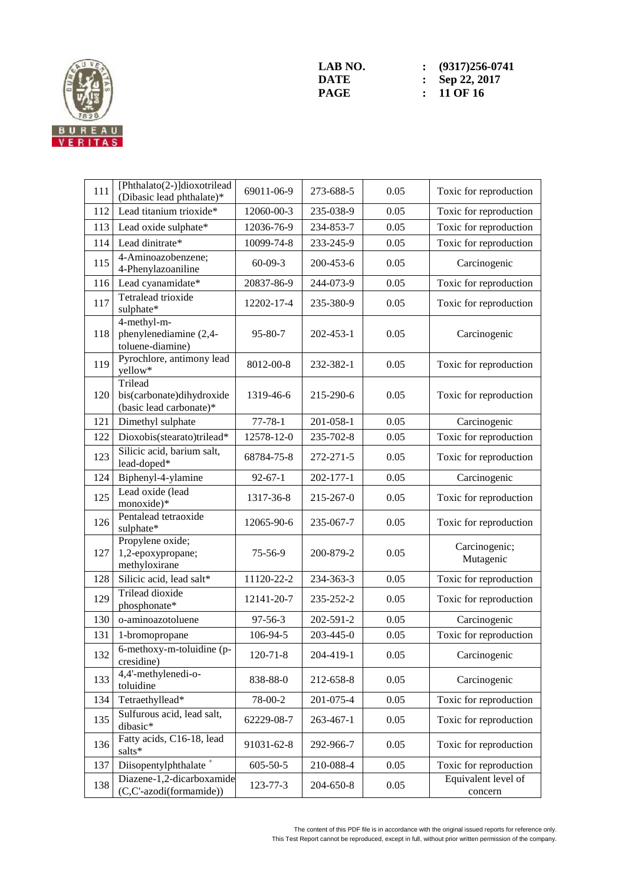

**LAB NO.** : (9317)256-0741<br> **DATE** : Sep 22, 2017 **DATE : Sep 22, 2017**<br>**PAGE :** 11 OF 16 **PAGE : 11 OF 16** 

| 111 | [Phthalato(2-)]dioxotrilead<br>(Dibasic lead phthalate)*        | 69011-06-9     | 273-688-5 | 0.05 | Toxic for reproduction         |
|-----|-----------------------------------------------------------------|----------------|-----------|------|--------------------------------|
| 112 | Lead titanium trioxide*                                         | 12060-00-3     | 235-038-9 | 0.05 | Toxic for reproduction         |
| 113 | Lead oxide sulphate*                                            | 12036-76-9     | 234-853-7 | 0.05 | Toxic for reproduction         |
| 114 | Lead dinitrate*                                                 | 10099-74-8     | 233-245-9 | 0.05 | Toxic for reproduction         |
| 115 | 4-Aminoazobenzene;<br>4-Phenylazoaniline                        | $60-09-3$      | 200-453-6 | 0.05 | Carcinogenic                   |
| 116 | Lead cyanamidate*                                               | 20837-86-9     | 244-073-9 | 0.05 | Toxic for reproduction         |
| 117 | Tetralead trioxide<br>sulphate*                                 | 12202-17-4     | 235-380-9 | 0.05 | Toxic for reproduction         |
| 118 | 4-methyl-m-<br>phenylenediamine (2,4-<br>toluene-diamine)       | 95-80-7        | 202-453-1 | 0.05 | Carcinogenic                   |
| 119 | Pyrochlore, antimony lead<br>yellow*                            | 8012-00-8      | 232-382-1 | 0.05 | Toxic for reproduction         |
| 120 | Trilead<br>bis(carbonate)dihydroxide<br>(basic lead carbonate)* | 1319-46-6      | 215-290-6 | 0.05 | Toxic for reproduction         |
| 121 | Dimethyl sulphate                                               | $77 - 78 - 1$  | 201-058-1 | 0.05 | Carcinogenic                   |
| 122 | Dioxobis(stearato)trilead*                                      | 12578-12-0     | 235-702-8 | 0.05 | Toxic for reproduction         |
| 123 | Silicic acid, barium salt,<br>lead-doped*                       | 68784-75-8     | 272-271-5 | 0.05 | Toxic for reproduction         |
| 124 | Biphenyl-4-ylamine                                              | $92 - 67 - 1$  | 202-177-1 | 0.05 | Carcinogenic                   |
| 125 | Lead oxide (lead<br>monoxide)*                                  | 1317-36-8      | 215-267-0 | 0.05 | Toxic for reproduction         |
| 126 | Pentalead tetraoxide<br>sulphate*                               | 12065-90-6     | 235-067-7 | 0.05 | Toxic for reproduction         |
| 127 | Propylene oxide;<br>1,2-epoxypropane;<br>methyloxirane          | 75-56-9        | 200-879-2 | 0.05 | Carcinogenic;<br>Mutagenic     |
| 128 | Silicic acid, lead salt*                                        | 11120-22-2     | 234-363-3 | 0.05 | Toxic for reproduction         |
| 129 | <b>Trilead</b> dioxide<br>phosphonate*                          | 12141-20-7     | 235-252-2 | 0.05 | Toxic for reproduction         |
| 130 | o-aminoazotoluene                                               | 97-56-3        | 202-591-2 | 0.05 | Carcinogenic                   |
| 131 | 1-bromopropane                                                  | 106-94-5       | 203-445-0 | 0.05 | Toxic for reproduction         |
| 132 | 6-methoxy-m-toluidine (p-<br>cresidine)                         | $120 - 71 - 8$ | 204-419-1 | 0.05 | Carcinogenic                   |
| 133 | 4,4'-methylenedi-o-<br>toluidine                                | 838-88-0       | 212-658-8 | 0.05 | Carcinogenic                   |
| 134 | Tetraethyllead*                                                 | 78-00-2        | 201-075-4 | 0.05 | Toxic for reproduction         |
| 135 | Sulfurous acid, lead salt,<br>dibasic*                          | 62229-08-7     | 263-467-1 | 0.05 | Toxic for reproduction         |
| 136 | Fatty acids, C16-18, lead<br>salts*                             | 91031-62-8     | 292-966-7 | 0.05 | Toxic for reproduction         |
| 137 | Diisopentylphthalate <sup>+</sup>                               | $605 - 50 - 5$ | 210-088-4 | 0.05 | Toxic for reproduction         |
| 138 | Diazene-1,2-dicarboxamide<br>(C,C'-azodi(formamide))            | 123-77-3       | 204-650-8 | 0.05 | Equivalent level of<br>concern |

The content of this PDF file is in accordance with the original issued reports for reference only. This Test Report cannot be reproduced, except in full, without prior written permission of the company.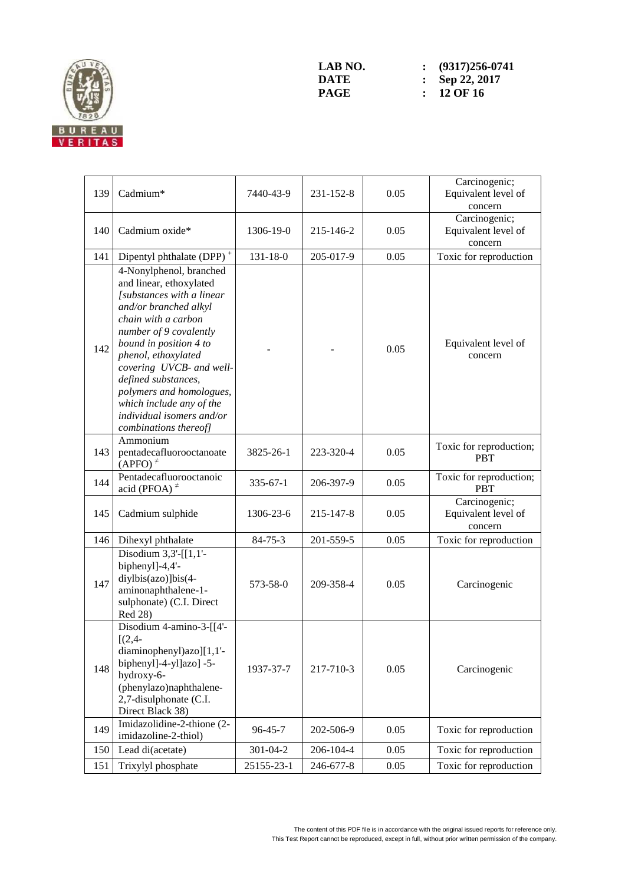

| 139 | Cadmium*                                                                                                                                                                                                                                                                                                                                                                    | 7440-43-9      | $231 - 152 - 8$ | 0.05 | Carcinogenic;<br>Equivalent level of<br>concern |
|-----|-----------------------------------------------------------------------------------------------------------------------------------------------------------------------------------------------------------------------------------------------------------------------------------------------------------------------------------------------------------------------------|----------------|-----------------|------|-------------------------------------------------|
| 140 | Cadmium oxide*                                                                                                                                                                                                                                                                                                                                                              | 1306-19-0      | 215-146-2       | 0.05 | Carcinogenic;<br>Equivalent level of<br>concern |
| 141 | Dipentyl phthalate (DPP) <sup>+</sup>                                                                                                                                                                                                                                                                                                                                       | $131 - 18 - 0$ | 205-017-9       | 0.05 | Toxic for reproduction                          |
| 142 | 4-Nonylphenol, branched<br>and linear, ethoxylated<br>[substances with a linear<br>and/or branched alkyl<br>chain with a carbon<br>number of 9 covalently<br>bound in position 4 to<br>phenol, ethoxylated<br>covering UVCB- and well-<br>defined substances,<br>polymers and homologues,<br>which include any of the<br>individual isomers and/or<br>combinations thereof] |                |                 | 0.05 | Equivalent level of<br>concern                  |
| 143 | Ammonium<br>pentadecafluorooctanoate<br>$(APFO)^{\neq}$                                                                                                                                                                                                                                                                                                                     | 3825-26-1      | 223-320-4       | 0.05 | Toxic for reproduction;<br><b>PBT</b>           |
| 144 | Pentadecafluorooctanoic<br>acid (PFOA) $\neq$                                                                                                                                                                                                                                                                                                                               | $335 - 67 - 1$ | 206-397-9       | 0.05 | Toxic for reproduction;<br><b>PBT</b>           |
| 145 | Cadmium sulphide                                                                                                                                                                                                                                                                                                                                                            | 1306-23-6      | 215-147-8       | 0.05 | Carcinogenic;<br>Equivalent level of<br>concern |
| 146 | Dihexyl phthalate                                                                                                                                                                                                                                                                                                                                                           | $84 - 75 - 3$  | 201-559-5       | 0.05 | Toxic for reproduction                          |
| 147 | Disodium $3,3'$ -[[1,1'-<br>biphenyl]-4,4'-<br>diylbis(azo)]bis(4-<br>aminonaphthalene-1-<br>sulphonate) (C.I. Direct<br>Red 28)                                                                                                                                                                                                                                            | 573-58-0       | 209-358-4       | 0.05 | Carcinogenic                                    |
| 148 | Disodium 4-amino-3-[[4'-<br>$[(2,4 -$<br>diaminophenyl)azo][1,1'-<br>biphenyl]-4-yl]azo] -5-<br>hydroxy-6-<br>(phenylazo)naphthalene-<br>2,7-disulphonate (C.I.<br>Direct Black 38)                                                                                                                                                                                         | 1937-37-7      | 217-710-3       | 0.05 | Carcinogenic                                    |
| 149 | Imidazolidine-2-thione (2-<br>imidazoline-2-thiol)                                                                                                                                                                                                                                                                                                                          | 96-45-7        | 202-506-9       | 0.05 | Toxic for reproduction                          |
| 150 | Lead di(acetate)                                                                                                                                                                                                                                                                                                                                                            | 301-04-2       | 206-104-4       | 0.05 | Toxic for reproduction                          |
| 151 | Trixylyl phosphate                                                                                                                                                                                                                                                                                                                                                          | 25155-23-1     | 246-677-8       | 0.05 | Toxic for reproduction                          |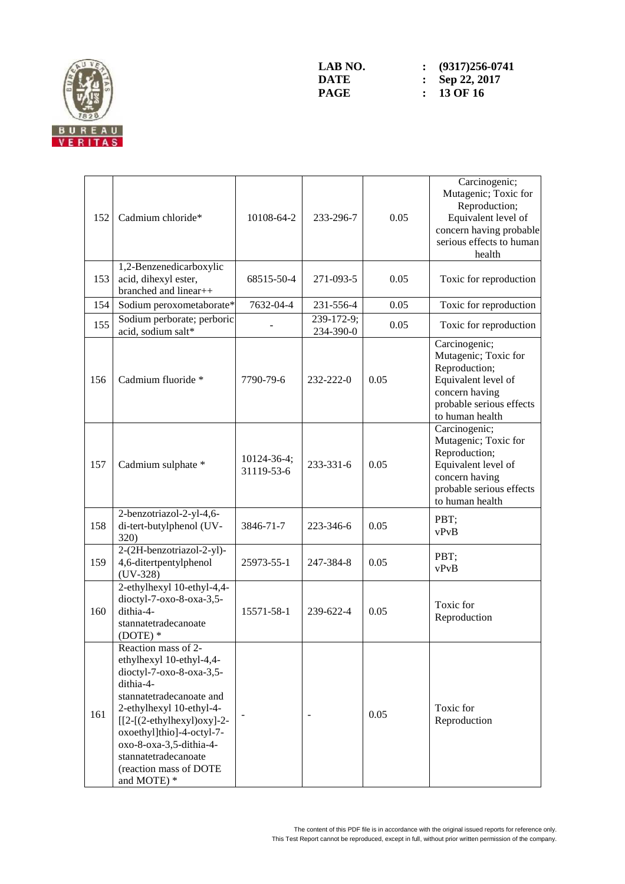

**LAB NO.** : (9317)256-0741<br> **DATE** : Sep 22, 2017 **DATE : Sep 22, 2017**<br>**PAGE : 13 OF 16 PAGE : 13 OF 16** 

| 152 | Cadmium chloride*                                                                                                                                                                                                                                                                                         | 10108-64-2                | 233-296-7               | 0.05 | Carcinogenic;<br>Mutagenic; Toxic for<br>Reproduction;<br>Equivalent level of<br>concern having probable<br>serious effects to human<br>health |
|-----|-----------------------------------------------------------------------------------------------------------------------------------------------------------------------------------------------------------------------------------------------------------------------------------------------------------|---------------------------|-------------------------|------|------------------------------------------------------------------------------------------------------------------------------------------------|
| 153 | 1,2-Benzenedicarboxylic<br>acid, dihexyl ester,<br>branched and linear++                                                                                                                                                                                                                                  | 68515-50-4                | 271-093-5               | 0.05 | Toxic for reproduction                                                                                                                         |
| 154 | Sodium peroxometaborate*                                                                                                                                                                                                                                                                                  | 7632-04-4                 | 231-556-4               | 0.05 | Toxic for reproduction                                                                                                                         |
| 155 | Sodium perborate; perboric<br>acid, sodium salt*                                                                                                                                                                                                                                                          |                           | 239-172-9;<br>234-390-0 | 0.05 | Toxic for reproduction                                                                                                                         |
| 156 | Cadmium fluoride *                                                                                                                                                                                                                                                                                        | 7790-79-6                 | 232-222-0               | 0.05 | Carcinogenic;<br>Mutagenic; Toxic for<br>Reproduction;<br>Equivalent level of<br>concern having<br>probable serious effects<br>to human health |
| 157 | Cadmium sulphate *                                                                                                                                                                                                                                                                                        | 10124-36-4;<br>31119-53-6 | 233-331-6               | 0.05 | Carcinogenic;<br>Mutagenic; Toxic for<br>Reproduction;<br>Equivalent level of<br>concern having<br>probable serious effects<br>to human health |
| 158 | 2-benzotriazol-2-yl-4,6-<br>di-tert-butylphenol (UV-<br><b>320</b> )                                                                                                                                                                                                                                      | 3846-71-7                 | 223-346-6               | 0.05 | PBT;<br>vPvB                                                                                                                                   |
| 159 | 2-(2H-benzotriazol-2-yl)-<br>4,6-ditertpentylphenol<br>$(UV-328)$                                                                                                                                                                                                                                         | 25973-55-1                | 247-384-8               | 0.05 | PBT;<br>vPvB                                                                                                                                   |
| 160 | 2-ethylhexyl 10-ethyl-4,4-<br>dioctyl-7-oxo-8-oxa-3,5-<br>dithia-4-<br>stannatetradecanoate<br>$(DOTE)*$                                                                                                                                                                                                  | 15571-58-1                | 239-622-4               | 0.05 | Toxic for<br>Reproduction                                                                                                                      |
| 161 | Reaction mass of $2$<br>ethylhexyl 10-ethyl-4,4-<br>dioctyl-7-oxo-8-oxa-3,5-<br>dithia-4-<br>stannatetradecanoate and<br>2-ethylhexyl 10-ethyl-4-<br>$[[2-(2-ethylhexyl)oxy]-2-$<br>oxoethyl]thio]-4-octyl-7-<br>oxo-8-oxa-3,5-dithia-4-<br>stannatetradecanoate<br>(reaction mass of DOTE<br>and MOTE) * |                           |                         | 0.05 | Toxic for<br>Reproduction                                                                                                                      |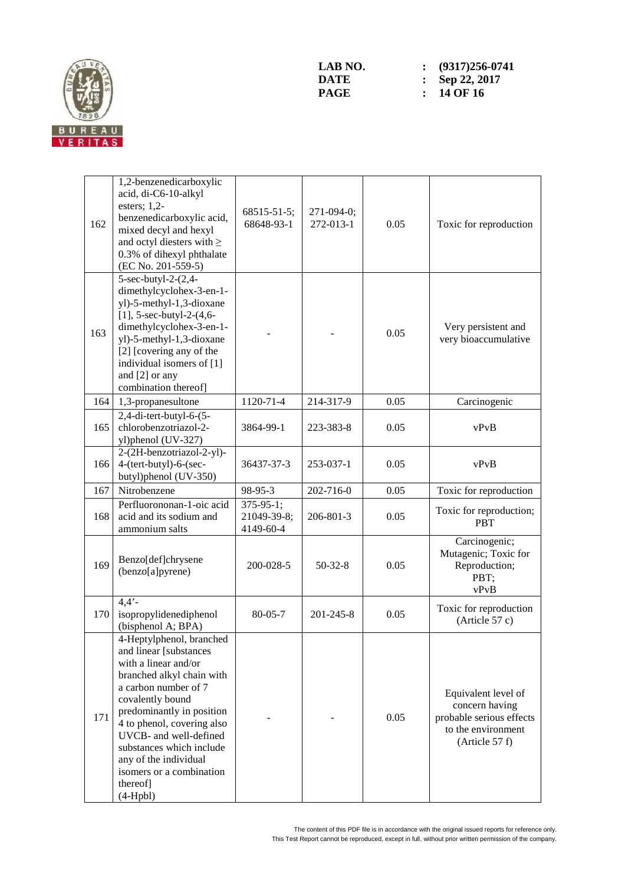

| 162 | 1,2-benzenedicarboxylic<br>acid, di-C6-10-alkyl<br>esters; $1,2$ -<br>benzenedicarboxylic acid,<br>mixed decyl and hexyl<br>and octyl diesters with $\geq$<br>0.3% of dihexyl phthalate<br>(EC No. 201-559-5)                                                                                                                                       | 68515-51-5;<br>68648-93-1                   | 271-094-0;<br>272-013-1 | 0.05 | Toxic for reproduction                                                                                    |
|-----|-----------------------------------------------------------------------------------------------------------------------------------------------------------------------------------------------------------------------------------------------------------------------------------------------------------------------------------------------------|---------------------------------------------|-------------------------|------|-----------------------------------------------------------------------------------------------------------|
| 163 | 5-sec-butyl-2-(2,4-<br>dimethylcyclohex-3-en-1-<br>yl)-5-methyl-1,3-dioxane<br>[1], 5-sec-butyl-2- $(4, 6-$<br>dimethylcyclohex-3-en-1-<br>yl)-5-methyl-1,3-dioxane<br>[2] [covering any of the<br>individual isomers of [1]<br>and [2] or any<br>combination thereof]                                                                              |                                             |                         | 0.05 | Very persistent and<br>very bioaccumulative                                                               |
| 164 | 1,3-propanesultone                                                                                                                                                                                                                                                                                                                                  | 1120-71-4                                   | 214-317-9               | 0.05 | Carcinogenic                                                                                              |
| 165 | $2,4$ -di-tert-butyl-6- $(5-$<br>chlorobenzotriazol-2-<br>yl)phenol (UV-327)                                                                                                                                                                                                                                                                        | 3864-99-1                                   | 223-383-8               | 0.05 | vPvB                                                                                                      |
| 166 | 2-(2H-benzotriazol-2-yl)-<br>4-(tert-butyl)-6-(sec-<br>butyl)phenol (UV-350)                                                                                                                                                                                                                                                                        | 36437-37-3                                  | 253-037-1               | 0.05 | vPvB                                                                                                      |
| 167 | Nitrobenzene                                                                                                                                                                                                                                                                                                                                        | 98-95-3                                     | 202-716-0               | 0.05 | Toxic for reproduction                                                                                    |
| 168 | Perfluorononan-1-oic acid<br>acid and its sodium and<br>ammonium salts                                                                                                                                                                                                                                                                              | $375 - 95 - 1;$<br>21049-39-8;<br>4149-60-4 | 206-801-3               | 0.05 | Toxic for reproduction;<br><b>PBT</b>                                                                     |
| 169 | Benzo[def]chrysene<br>(benzo[a]pyrene)                                                                                                                                                                                                                                                                                                              | 200-028-5                                   | $50 - 32 - 8$           | 0.05 | Carcinogenic;<br>Mutagenic; Toxic for<br>Reproduction;<br>PBT;<br>vPvB                                    |
| 170 | $4,4'$ -<br>isopropylidenediphenol<br>(bisphenol A; BPA)                                                                                                                                                                                                                                                                                            | $80 - 05 - 7$                               | 201-245-8               | 0.05 | Toxic for reproduction<br>(Article $57c$ )                                                                |
| 171 | 4-Heptylphenol, branched<br>and linear [substances<br>with a linear and/or<br>branched alkyl chain with<br>a carbon number of 7<br>covalently bound<br>predominantly in position<br>4 to phenol, covering also<br>UVCB- and well-defined<br>substances which include<br>any of the individual<br>isomers or a combination<br>thereof]<br>$(4-Hpbl)$ |                                             |                         | 0.05 | Equivalent level of<br>concern having<br>probable serious effects<br>to the environment<br>(Article 57 f) |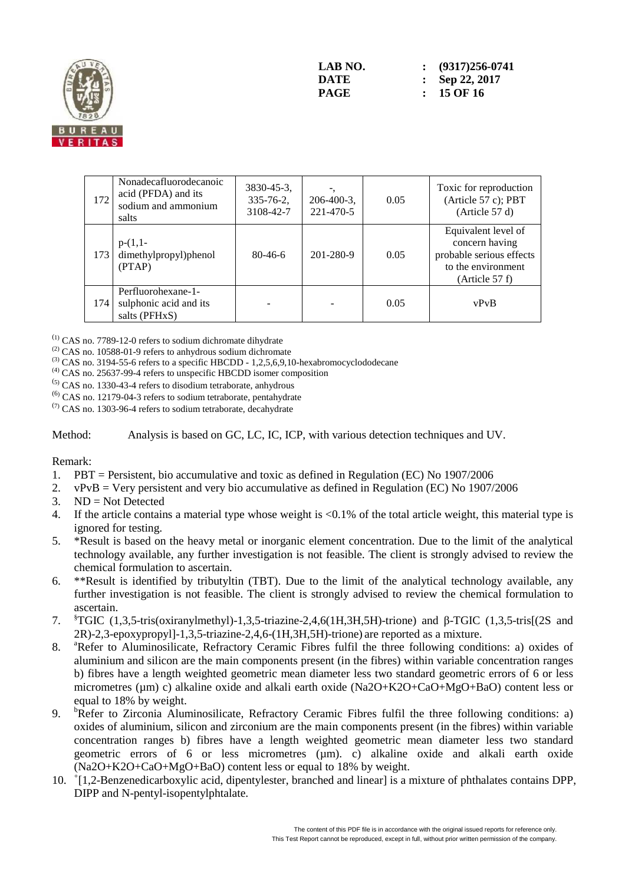

| 172 | Nonadecafluorodecanoic<br>acid (PFDA) and its<br>sodium and ammonium<br>salts | $3830 - 45 - 3$ ,<br>$335 - 76 - 2$ ,<br>3108-42-7 | $206-400-3$ ,<br>221-470-5 | 0.05 | Toxic for reproduction<br>(Article 57 c); PBT<br>(Article 57 d)                                           |
|-----|-------------------------------------------------------------------------------|----------------------------------------------------|----------------------------|------|-----------------------------------------------------------------------------------------------------------|
| 173 | $p-(1,1-$<br>dimethylpropyl)phenol<br>(PTAP)                                  | $80-46-6$                                          | 201-280-9                  | 0.05 | Equivalent level of<br>concern having<br>probable serious effects<br>to the environment<br>(Article 57 f) |
| 174 | Perfluorohexane-1-<br>sulphonic acid and its<br>salts (PFHxS)                 |                                                    |                            | 0.05 | vPvB                                                                                                      |

(1) CAS no. 7789-12-0 refers to sodium dichromate dihydrate

 $(2)$  CAS no. 10588-01-9 refers to anhydrous sodium dichromate

 $^{(3)}$  CAS no. 3194-55-6 refers to a specific HBCDD - 1,2,5,6,9,10-hexabromocyclododecane

(4) CAS no. 25637-99-4 refers to unspecific HBCDD isomer composition

(5) CAS no. 1330-43-4 refers to disodium tetraborate, anhydrous

(6) CAS no. 12179-04-3 refers to sodium tetraborate, pentahydrate

 $(7)$  CAS no. 1303-96-4 refers to sodium tetraborate, decahydrate

Method: Analysis is based on GC, LC, IC, ICP, with various detection techniques and UV.

#### Remark:

- 1. PBT = Persistent, bio accumulative and toxic as defined in Regulation (EC) No 1907/2006
- 2. vPvB = Very persistent and very bio accumulative as defined in Regulation (EC) No 1907/2006
- $3$  ND = Not Detected
- 4. If the article contains a material type whose weight is <0.1% of the total article weight, this material type is ignored for testing.
- 5. \*Result is based on the heavy metal or inorganic element concentration. Due to the limit of the analytical technology available, any further investigation is not feasible. The client is strongly advised to review the chemical formulation to ascertain.
- 6. \*\*Result is identified by tributyltin (TBT). Due to the limit of the analytical technology available, any further investigation is not feasible. The client is strongly advised to review the chemical formulation to ascertain.
- 7. §TGIC (1,3,5-tris(oxiranylmethyl)-1,3,5-triazine-2,4,6(1H,3H,5H)-trione) and β-TGIC (1,3,5-tris[(2S and 2R)-2,3-epoxypropyl]-1,3,5-triazine-2,4,6-(1H,3H,5H)-trione) are reported as a mixture.
- 8. <sup>a</sup>Refer to Aluminosilicate, Refractory Ceramic Fibres fulfil the three following conditions: a) oxides of aluminium and silicon are the main components present (in the fibres) within variable concentration ranges b) fibres have a length weighted geometric mean diameter less two standard geometric errors of 6 or less micrometres (µm) c) alkaline oxide and alkali earth oxide (Na2O+K2O+CaO+MgO+BaO) content less or equal to 18% by weight.
- 9. <sup>b</sup>Refer to Zirconia Aluminosilicate, Refractory Ceramic Fibres fulfil the three following conditions: a) oxides of aluminium, silicon and zirconium are the main components present (in the fibres) within variable concentration ranges b) fibres have a length weighted geometric mean diameter less two standard geometric errors of 6 or less micrometres (µm). c) alkaline oxide and alkali earth oxide (Na2O+K2O+CaO+MgO+BaO) content less or equal to 18% by weight.
- 10. <sup>+</sup> [1,2-Benzenedicarboxylic acid, dipentylester, branched and linear] is a mixture of phthalates contains DPP, DIPP and N-pentyl-isopentylphtalate.